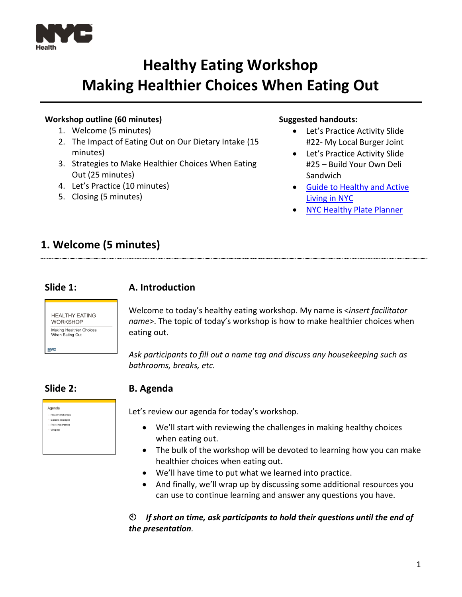

# **Healthy Eating Workshop Making Healthier Choices When Eating Out**

#### **Workshop outline (60 minutes)**

- 1. Welcome (5 minutes)
- 2. The Impact of Eating Out on Our Dietary Intake (15 minutes)
- 3. Strategies to Make Healthier Choices When Eating Out (25 minutes)
- 4. Let's Practice (10 minutes)
- 5. Closing (5 minutes)

#### **Suggested handouts:**

- Let's Practice Activity Slide #22- My Local Burger Joint
- Let's Practice Activity Slide #25 – Build Your Own Deli Sandwich
- [Guide to Healthy](https://www1.nyc.gov/assets/doh/downloads/pdf/cdp/healthy-eating-active-living-guide.pdf) and Active [Living in NYC](https://www1.nyc.gov/assets/doh/downloads/pdf/cdp/healthy-eating-active-living-guide.pdf)
- **[NYC Healthy Plate Planner](http://www1.nyc.gov/assets/doh/downloads/pdf/cdp/kot-plate-planners.pdf)**

# **1. Welcome (5 minutes)**

#### **Slide 1: A. Introduction**



Welcome to today's healthy eating workshop. My name is <*insert facilitator name*>. The topic of today's workshop is how to make healthier choices when eating out.

*Ask participants to fill out a name tag and discuss any housekeeping such as bathrooms, breaks, etc.*

### **Slide 2: B. Agenda**

| Agenda                 |  |
|------------------------|--|
| - Review challenges    |  |
| - Explore strategies   |  |
| - Put it into practice |  |
| - Wrap up              |  |
|                        |  |
|                        |  |
|                        |  |

Let's review our agenda for today's workshop.

- We'll start with reviewing the challenges in making healthy choices when eating out.
- The bulk of the workshop will be devoted to learning how you can make healthier choices when eating out.
- We'll have time to put what we learned into practice.
- And finally, we'll wrap up by discussing some additional resources you can use to continue learning and answer any questions you have.

*If short on time, ask participants to hold their questions until the end of the presentation.*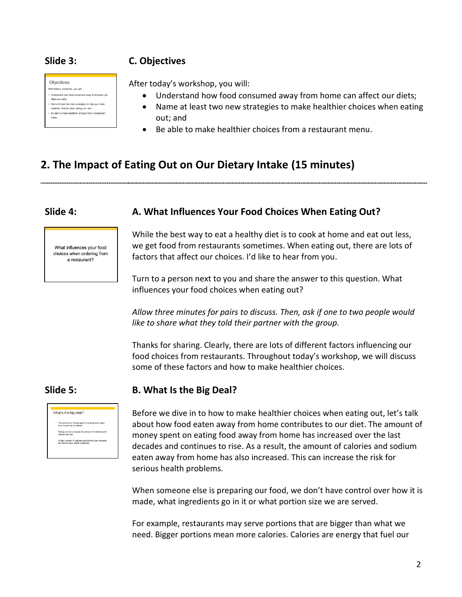### **Slide 3: C. Objectives**



After today's workshop, you will:

- Understand how food consumed away from home can affect our diets;
- Name at least two new strategies to make healthier choices when eating out; and
- Be able to make healthier choices from a restaurant menu.

# **2. The Impact of Eating Out on Our Dietary Intake (15 minutes)**

#### **Slide 4: A. What Influences Your Food Choices When Eating Out?**



While the best way to eat a healthy diet is to cook at home and eat out less, we get food from restaurants sometimes. When eating out, there are lots of factors that affect our choices. I'd like to hear from you.

Turn to a person next to you and share the answer to this question. What influences your food choices when eating out?

*Allow three minutes for pairs to discuss. Then, ask if one to two people would like to share what they told their partner with the group.* 

Thanks for sharing. Clearly, there are lots of different factors influencing our food choices from restaurants. Throughout today's workshop, we will discuss some of these factors and how to make healthier choices.



### **Slide 5: B. What Is the Big Deal?**

Before we dive in to how to make healthier choices when eating out, let's talk about how food eaten away from home contributes to our diet. The amount of money spent on eating food away from home has increased over the last decades and continues to rise. As a result, the amount of calories and sodium eaten away from home has also increased. This can increase the risk for serious health problems.

When someone else is preparing our food, we don't have control over how it is made, what ingredients go in it or what portion size we are served.

For example, restaurants may serve portions that are bigger than what we need. Bigger portions mean more calories. Calories are energy that fuel our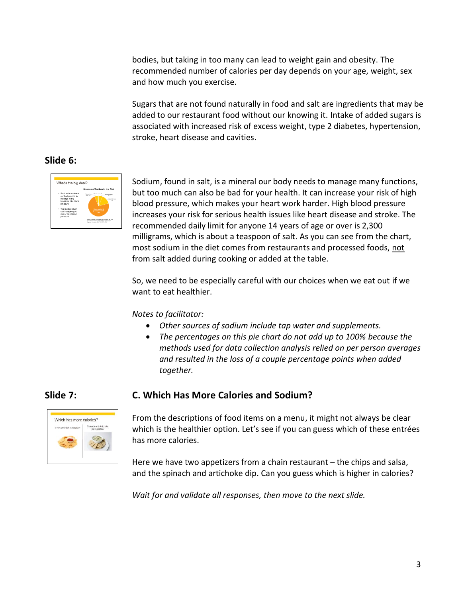bodies, but taking in too many can lead to weight gain and obesity. The recommended number of calories per day depends on your age, weight, sex and how much you exercise.

Sugars that are not found naturally in food and salt are ingredients that may be added to our restaurant food without our knowing it. Intake of added sugars is associated with increased risk of excess weight, type 2 diabetes, hypertension, stroke, heart disease and cavities.

### **Slide 6:**



Sodium, found in salt, is a mineral our body needs to manage many functions, but too much can also be bad for your health. It can increase your risk of high blood pressure, which makes your heart work harder. High blood pressure increases your risk for serious health issues like heart disease and stroke. The recommended daily limit for anyone 14 years of age or over is 2,300 milligrams, which is about a teaspoon of salt. As you can see from the chart, most sodium in the diet comes from restaurants and processed foods, not from salt added during cooking or added at the table.

So, we need to be especially careful with our choices when we eat out if we want to eat healthier.

*Notes to facilitator:* 

- *Other sources of sodium include tap water and supplements.*
- *The percentages on this pie chart do not add up to 100% because the methods used for data collection analysis relied on per person averages and resulted in the loss of a couple percentage points when added together.*



**Slide 7: C. Which Has More Calories and Sodium?**

From the descriptions of food items on a menu, it might not always be clear which is the healthier option. Let's see if you can guess which of these entrées has more calories.

Here we have two appetizers from a chain restaurant – the chips and salsa, and the spinach and artichoke dip. Can you guess which is higher in calories?

*Wait for and validate all responses, then move to the next slide.*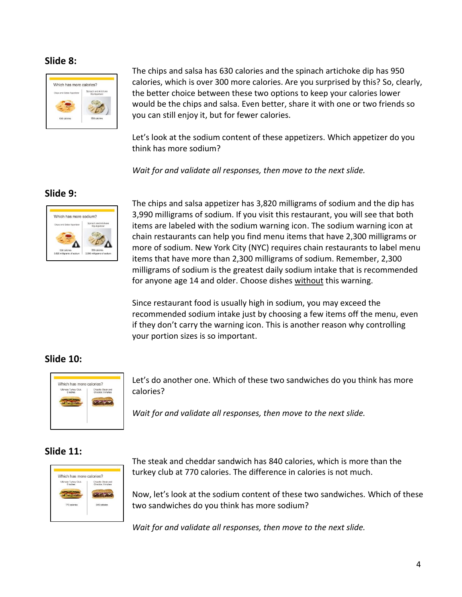#### **Slide 8:**



The chips and salsa has 630 calories and the spinach artichoke dip has 950 calories, which is over 300 more calories. Are you surprised by this? So, clearly, the better choice between these two options to keep your calories lower would be the chips and salsa. Even better, share it with one or two friends so you can still enjoy it, but for fewer calories.

Let's look at the sodium content of these appetizers. Which appetizer do you think has more sodium?

*Wait for and validate all responses, then move to the next slide.*

### **Slide 9:**



The chips and salsa appetizer has 3,820 milligrams of sodium and the dip has 3,990 milligrams of sodium. If you visit this restaurant, you will see that both items are labeled with the sodium warning icon. The sodium warning icon at chain restaurants can help you find menu items that have 2,300 milligrams or more of sodium. New York City (NYC) requires chain restaurants to label menu items that have more than 2,300 milligrams of sodium. Remember, 2,300 milligrams of sodium is the greatest daily sodium intake that is recommended for anyone age 14 and older. Choose dishes without this warning.

Since restaurant food is usually high in sodium, you may exceed the recommended sodium intake just by choosing a few items off the menu, even if they don't carry the warning icon. This is another reason why controlling your portion sizes is so important.

### **Slide 10:**



Let's do another one. Which of these two sandwiches do you think has more calories?

*Wait for and validate all responses, then move to the next slide.*

#### **Slide 11:**



The steak and cheddar sandwich has 840 calories, which is more than the turkey club at 770 calories. The difference in calories is not much.

Now, let's look at the sodium content of these two sandwiches. Which of these two sandwiches do you think has more sodium?

*Wait for and validate all responses, then move to the next slide.*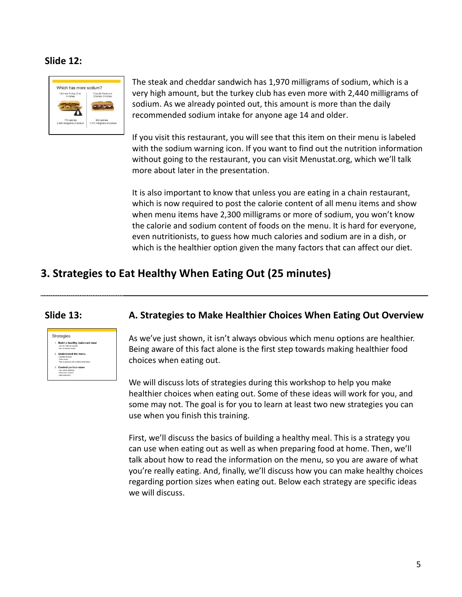#### **Slide 12:**



The steak and cheddar sandwich has 1,970 milligrams of sodium, which is a very high amount, but the turkey club has even more with 2,440 milligrams of sodium. As we already pointed out, this amount is more than the daily recommended sodium intake for anyone age 14 and older.

If you visit this restaurant, you will see that this item on their menu is labeled with the sodium warning icon. If you want to find out the nutrition information without going to the restaurant, you can visit Menustat.org, which we'll talk more about later in the presentation.

It is also important to know that unless you are eating in a chain restaurant, which is now required to post the calorie content of all menu items and show when menu items have 2,300 milligrams or more of sodium, you won't know the calorie and sodium content of foods on the menu. It is hard for everyone, even nutritionists, to guess how much calories and sodium are in a dish, or which is the healthier option given the many factors that can affect our diet.

## **3. Strategies to Eat Healthy When Eating Out (25 minutes)**



#### **Slide 13: A. Strategies to Make Healthier Choices When Eating Out Overview**

As we've just shown, it isn't always obvious which menu options are healthier. Being aware of this fact alone is the first step towards making healthier food choices when eating out.

We will discuss lots of strategies during this workshop to help you make healthier choices when eating out. Some of these ideas will work for you, and some may not. The goal is for you to learn at least two new strategies you can use when you finish this training.

First, we'll discuss the basics of building a healthy meal. This is a strategy you can use when eating out as well as when preparing food at home. Then, we'll talk about how to read the information on the menu, so you are aware of what you're really eating. And, finally, we'll discuss how you can make healthy choices regarding portion sizes when eating out. Below each strategy are specific ideas we will discuss.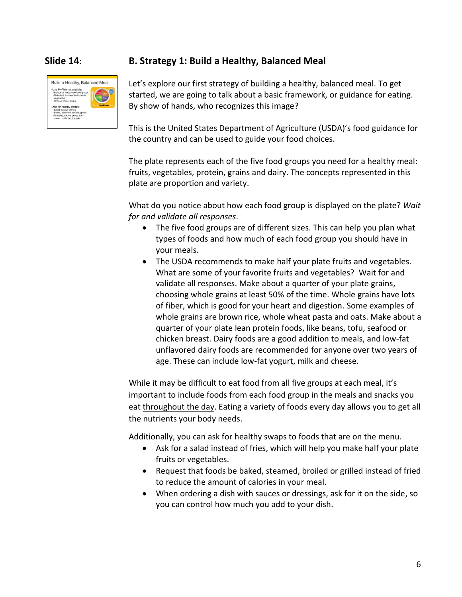

#### **Slide 14: B. Strategy 1: Build a Healthy, Balanced Meal**

Let's explore our first strategy of building a healthy, balanced meal. To get started, we are going to talk about a basic framework, or guidance for eating. By show of hands, who recognizes this image?

This is the United States Department of Agriculture (USDA)'s food guidance for the country and can be used to guide your food choices.

The plate represents each of the five food groups you need for a healthy meal: fruits, vegetables, protein, grains and dairy. The concepts represented in this plate are proportion and variety.

What do you notice about how each food group is displayed on the plate? *Wait for and validate all responses*.

- The five food groups are of different sizes. This can help you plan what types of foods and how much of each food group you should have in your meals.
- The USDA recommends to make half your plate fruits and vegetables. What are some of your favorite fruits and vegetables? Wait for and validate all responses. Make about a quarter of your plate grains, choosing whole grains at least 50% of the time. Whole grains have lots of fiber, which is good for your heart and digestion. Some examples of whole grains are brown rice, whole wheat pasta and oats. Make about a quarter of your plate lean protein foods, like beans, tofu, seafood or chicken breast. Dairy foods are a good addition to meals, and low-fat unflavored dairy foods are recommended for anyone over two years of age. These can include low-fat yogurt, milk and cheese.

While it may be difficult to eat food from all five groups at each meal, it's important to include foods from each food group in the meals and snacks you eat throughout the day. Eating a variety of foods every day allows you to get all the nutrients your body needs.

Additionally, you can ask for healthy swaps to foods that are on the menu.

- Ask for a salad instead of fries, which will help you make half your plate fruits or vegetables.
- Request that foods be baked, steamed, broiled or grilled instead of fried to reduce the amount of calories in your meal.
- When ordering a dish with sauces or dressings, ask for it on the side, so you can control how much you add to your dish.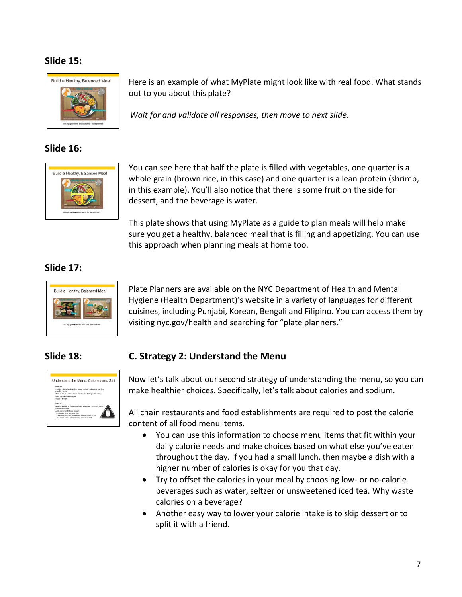### **Slide 15:**



### **Slide 16:**



Here is an example of what MyPlate might look like with real food. What stands out to you about this plate?

*Wait for and validate all responses, then move to next slide.*

You can see here that half the plate is filled with vegetables, one quarter is a whole grain (brown rice, in this case) and one quarter is a lean protein (shrimp, in this example). You'll also notice that there is some fruit on the side for dessert, and the beverage is water.

This plate shows that using MyPlate as a guide to plan meals will help make sure you get a healthy, balanced meal that is filling and appetizing. You can use this approach when planning meals at home too.

### **Slide 17:**



Plate Planners are available on the NYC Department of Health and Mental Hygiene (Health Department)'s website in a variety of languages for different cuisines, including Punjabi, Korean, Bengali and Filipino. You can access them by visiting nyc.gov/health and searching for "plate planners."



### **Slide 18: C. Strategy 2: Understand the Menu**

Now let's talk about our second strategy of understanding the menu, so you can make healthier choices. Specifically, let's talk about calories and sodium.

All chain restaurants and food establishments are required to post the calorie content of all food menu items.

- You can use this information to choose menu items that fit within your daily calorie needs and make choices based on what else you've eaten throughout the day. If you had a small lunch, then maybe a dish with a higher number of calories is okay for you that day.
- Try to offset the calories in your meal by choosing low- or no-calorie beverages such as water, seltzer or unsweetened iced tea. Why waste calories on a beverage?
- Another easy way to lower your calorie intake is to skip dessert or to split it with a friend.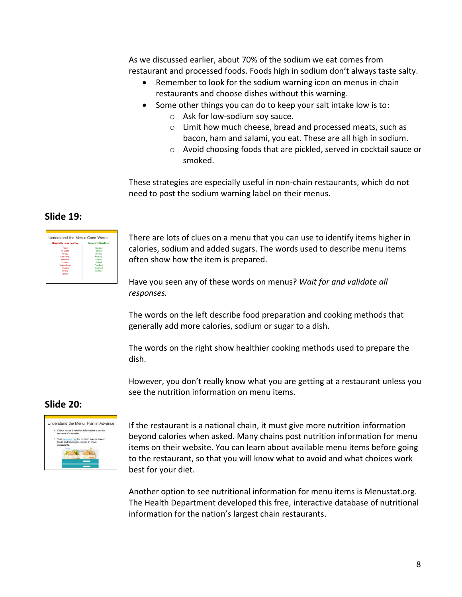As we discussed earlier, about 70% of the sodium we eat comes from restaurant and processed foods. Foods high in sodium don't always taste salty.

- Remember to look for the sodium warning icon on menus in chain restaurants and choose dishes without this warning.
- Some other things you can do to keep your salt intake low is to:
	- o Ask for low-sodium soy sauce.
	- o Limit how much cheese, bread and processed meats, such as bacon, ham and salami, you eat. These are all high in sodium.
	- o Avoid choosing foods that are pickled, served in cocktail sauce or smoked.

These strategies are especially useful in non-chain restaurants, which do not need to post the sodium warning label on their menus.

#### **Slide 19:**



There are lots of clues on a menu that you can use to identify items higher in calories, sodium and added sugars. The words used to describe menu items often show how the item is prepared.

Have you seen any of these words on menus? *Wait for and validate all responses.*

The words on the left describe food preparation and cooking methods that generally add more calories, sodium or sugar to a dish.

The words on the right show healthier cooking methods used to prepare the dish.

However, you don't really know what you are getting at a restaurant unless you see the nutrition information on menu items.

#### **Slide 20:**



If the restaurant is a national chain, it must give more nutrition information beyond calories when asked. Many chains post nutrition information for menu items on their website. You can learn about available menu items before going to the restaurant, so that you will know what to avoid and what choices work best for your diet.

Another option to see nutritional information for menu items is Menustat.org. The Health Department developed this free, interactive database of nutritional information for the nation's largest chain restaurants.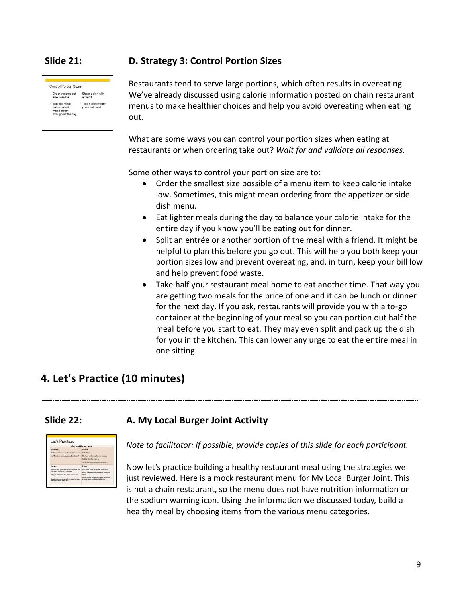

#### **Slide 21: D. Strategy 3: Control Portion Sizes**

Restaurants tend to serve large portions, which often results in overeating. We've already discussed using calorie information posted on chain restaurant menus to make healthier choices and help you avoid overeating when eating out.

What are some ways you can control your portion sizes when eating at restaurants or when ordering take out? *Wait for and validate all responses.*

Some other ways to control your portion size are to:

- Order the smallest size possible of a menu item to keep calorie intake low. Sometimes, this might mean ordering from the appetizer or side dish menu.
- Eat lighter meals during the day to balance your calorie intake for the entire day if you know you'll be eating out for dinner.
- Split an entrée or another portion of the meal with a friend. It might be helpful to plan this before you go out. This will help you both keep your portion sizes low and prevent overeating, and, in turn, keep your bill low and help prevent food waste.
- Take half your restaurant meal home to eat another time. That way you are getting two meals for the price of one and it can be lunch or dinner for the next day. If you ask, restaurants will provide you with a to-go container at the beginning of your meal so you can portion out half the meal before you start to eat. They may even split and pack up the dish for you in the kitchen. This can lower any urge to eat the entire meal in one sitting.

# **4. Let's Practice (10 minutes)**

### **Slide 22: A. My Local Burger Joint Activity**



*Note to facilitator: if possible, provide copies of this slide for each participant.* 

Now let's practice building a healthy restaurant meal using the strategies we just reviewed. Here is a mock restaurant menu for My Local Burger Joint. This is not a chain restaurant, so the menu does not have nutrition information or the sodium warning icon. Using the information we discussed today, build a healthy meal by choosing items from the various menu categories.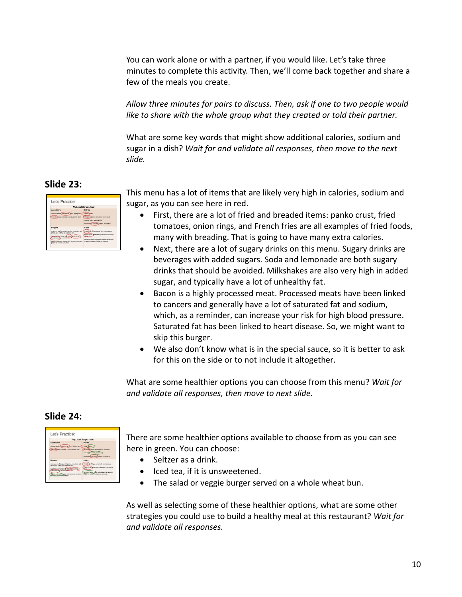You can work alone or with a partner, if you would like. Let's take three minutes to complete this activity. Then, we'll come back together and share a few of the meals you create.

*Allow three minutes for pairs to discuss. Then, ask if one to two people would like to share with the whole group what they created or told their partner.* 

What are some key words that might show additional calories, sodium and sugar in a dish? *Wait for and validate all responses, then move to the next slide.*

### **Slide 23:**

|                                                                                   | <b>My Local Burger Joint</b>                                                         |
|-----------------------------------------------------------------------------------|--------------------------------------------------------------------------------------|
| Appetizers                                                                        | <b>Drinks</b>                                                                        |
| Chicken tenders, panks onat, rarsh doping saula                                   | Doda, Santon                                                                         |
| Fred Tompore: commeri crust, butternilk ranch                                     | Mikstelle asrilla, straubery or chocolate                                            |
|                                                                                   | lond dear black deal green fee.                                                      |
|                                                                                   | HOMAGARE LAYIGARD CARSIL MISSIONS                                                    |
| <b>Burgers</b>                                                                    | <b>Rivies</b>                                                                        |
| American beef burger with pickles, tomatoes, red.                                 | Fred On Ar Rings: served with among sauce                                            |
| onlone, and ketchuiz on a brioche bun                                             | French Fries: Messoned and served with special                                       |
| springer and hotel with technical american<br><b>Spacial sauce an a briochère</b> |                                                                                      |
| Users musician buyer with famous, laresteed                                       | Farmer's Salad mixed belo areans served with<br>scale foreignes and banamic shassing |
| tradition alabels and steel                                                       |                                                                                      |

This menu has a lot of items that are likely very high in calories, sodium and sugar, as you can see here in red.

- First, there are a lot of fried and breaded items: panko crust, fried tomatoes, onion rings, and French fries are all examples of fried foods, many with breading. That is going to have many extra calories.
- Next, there are a lot of sugary drinks on this menu. Sugary drinks are beverages with added sugars. Soda and lemonade are both sugary drinks that should be avoided. Milkshakes are also very high in added sugar, and typically have a lot of unhealthy fat.
- Bacon is a highly processed meat. Processed meats have been linked to cancers and generally have a lot of saturated fat and sodium, which, as a reminder, can increase your risk for high blood pressure. Saturated fat has been linked to heart disease. So, we might want to skip this burger.
- We also don't know what is in the special sauce, so it is better to ask for this on the side or to not include it altogether.

What are some healthier options you can choose from this menu? *Wait for and validate all responses, then move to next slide.*

### **Slide 24:**

|                                                                                          | My Local Burger Joint                                                                       |  |  |
|------------------------------------------------------------------------------------------|---------------------------------------------------------------------------------------------|--|--|
| Appetizers                                                                               | <b>Drinks</b>                                                                               |  |  |
| Chicken tenders, panks onat, ninch doping sausa                                          | <b>Seed States</b>                                                                          |  |  |
| Fred Tompore commer crue, butternill ranch                                               | Milighala asvilla, stravbery or chocoiste                                                   |  |  |
|                                                                                          | long beat machine, green lee 3                                                              |  |  |
|                                                                                          | <b>VOITAGING LATIONARY CASES, STEARING</b>                                                  |  |  |
| <b>Burgers</b>                                                                           | <b>Rivies</b>                                                                               |  |  |
| American beef burger with pickles, tomatoes, red<br>prices, and ketchup on a brioche bun | Fred One-Rings senativity angle sauce                                                       |  |  |
|                                                                                          | French Friest bestoned and served with special                                              |  |  |
| Lowcas bent burger with become<br>leartel sauna'an a bronna                              |                                                                                             |  |  |
| Brising, recognization burner with Fallent                                               | Farmer's Satisf mixed belts areans served with<br>present investors and a reserve share and |  |  |

There are some healthier options available to choose from as you can see here in green. You can choose:

- Seltzer as a drink.
- Iced tea, if it is unsweetened.
- The salad or veggie burger served on a whole wheat bun.

As well as selecting some of these healthier options, what are some other strategies you could use to build a healthy meal at this restaurant? *Wait for and validate all responses.*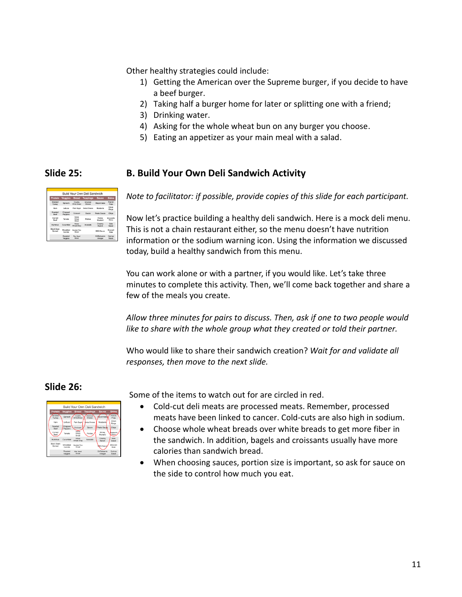Other healthy strategies could include:

- 1) Getting the American over the Supreme burger, if you decide to have a beef burger.
- 2) Taking half a burger home for later or splitting one with a friend;
- 3) Drinking water.
- 4) Asking for the whole wheat bun on any burger you choose.
- 5) Eating an appetizer as your main meal with a salad.

|                             |                     |                                  | Build Your Own Deli Sandwich |                         |                                     |
|-----------------------------|---------------------|----------------------------------|------------------------------|-------------------------|-------------------------------------|
| Protein                     | <b>Veggies</b>      | <b>Bread</b>                     | <b>Toppings</b>              | <b>Sauce</b>            | <b>Sides</b>                        |
| Smoked<br>Turkey            | Solnach             | Country<br>White Bread           | <b>Arradican</b><br>Cheese   | Mayonnaise              | French<br>Fries                     |
| Ham                         | Lettuce             | Plain Bagel                      | Swiss Cheese                 | Mustants                | Onion<br>Rings                      |
| Rogsted<br>Beef             | Chopped<br>Pecoers  | Croissant                        | Bacon                        | Pesto Sauce             | Chips                               |
| Comed<br><b>Reed</b>        | Tomato              | Whole<br>Wheat<br>Bread          | Pickles                      | Honey<br>Mustand        | <b>Morrowalls</b><br><b>Stirles</b> |
| Hummus                      | Cucumber            | Whele<br>Wheat Wrap              | Avocado                      | Creamy<br><b>Barch</b>  | Side<br><b>Salart</b>               |
| <b>Rlark Rean</b><br>Scread | Shredded<br>Comnite | Seeded Rye<br><b>Boxed</b>       |                              | <b>BBQ Sauce</b>        | Broccoli<br>Staw                    |
|                             | Roasted<br>Veggies  | <b>Flax Seed</b><br><b>Brand</b> |                              | Oli/Ratsamic<br>Vinegar | Quince<br>Salad                     |

### **Slide 25: B. Build Your Own Deli Sandwich Activity**

*Note to facilitator: if possible, provide copies of this slide for each participant.* 

Now let's practice building a healthy deli sandwich. Here is a mock deli menu. This is not a chain restaurant either, so the menu doesn't have nutrition information or the sodium warning icon. Using the information we discussed today, build a healthy sandwich from this menu.

You can work alone or with a partner, if you would like. Let's take three minutes to complete this activity. Then, we'll come back together and share a few of the meals you create.

*Allow three minutes for pairs to discuss. Then, ask if one to two people would like to share with the whole group what they created or told their partner.*

Who would like to share their sandwich creation? *Wait for and validate all responses, then move to the next slide.*

#### **Slide 26:**

| Build Your Own Deli Sandwich |                    |                                |                      |                               |                            |
|------------------------------|--------------------|--------------------------------|----------------------|-------------------------------|----------------------------|
| Protein                      | <b>Veggies</b>     | <b>Bread</b>                   | <b>Toppings</b>      | Sauce                         | <b>Sides</b>               |
| Smoked<br>Turkey             | Spinach            | Country<br>White Bread         | American<br>Cheese   | avannaise                     | French<br>Fries            |
| <b>Harn</b>                  | Lettuce            | <b>Plain Bacel</b>             | <b>Juriss Cheese</b> | Mustards                      | Onion<br>Rings             |
| Roasted<br>Reef              | Chopped<br>Peppers | Croissant                      | Racon                | Pesto Saude                   | Chips                      |
| Corned<br>Beef               | Tomato             | Whole<br>Wheat<br><b>Bread</b> | Pickles              | Honey<br>Mustard              | foreasata<br><b>Stirks</b> |
| <b>Hummus</b>                | Cucumber           | Whole<br>Wheat Wrap            | Avocado              | Creamy<br>Ranch               | <b>Skie</b><br>Seled       |
| <b>Black Bean</b><br>Spread  | Shredded<br>Camrin | Seeded Rye<br>Rosad            |                      | <b>BQ</b> Sauce               | Broccoli<br>Slaw           |
|                              | Roasted<br>Veggies | Fiss Seed<br>Report            |                      | <b>OliRalsamic</b><br>Vinegar | Ouinna<br>Selad            |

Some of the items to watch out for are circled in red.

- Cold-cut deli meats are processed meats. Remember, processed meats have been linked to cancer. Cold-cuts are also high in sodium.
- Choose whole wheat breads over white breads to get more fiber in the sandwich. In addition, bagels and croissants usually have more calories than sandwich bread.
- When choosing sauces, portion size is important, so ask for sauce on the side to control how much you eat.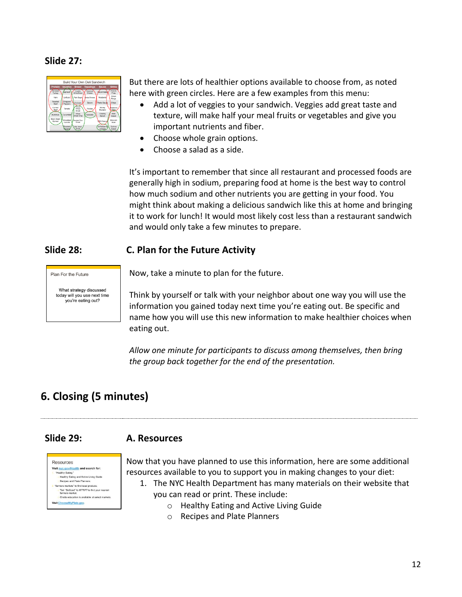#### **Slide 27:**

|                             |                    |                                 | Build Your Own Deli Sandwich |                  |                             |
|-----------------------------|--------------------|---------------------------------|------------------------------|------------------|-----------------------------|
| Protein                     | <b>Vegaies</b>     | <b>Bread</b>                    | <b>Toppings</b>              | <b>Sauce</b>     | <b>Sides</b>                |
| Smoked<br>Turkey            | Spinach            | Country<br>White Bread          | Arrenican<br>Cheese          | Aavonnaise       | French<br>Fries             |
| <b>Ham</b>                  | Lettuce            | <b>Plain Bagel</b>              | <b>Buiss Cheese</b>          | Mustards         | Onion<br>Rings              |
| Roasted<br>Reef             | Chopped<br>Peppers | Croissant                       | Racon                        | Pesto Squae      | Chins                       |
| Corned<br>Reef              | Tomato             | Ahole<br>Wheat<br><b>Report</b> | Pickles                      | Honey<br>Mustard | Intrasella<br><b>Sticks</b> |
| <b>Hummus</b>               | Cucumber           | Whole<br><b>Miwat Wrap</b>      | Avocado                      | Creamy<br>Ranch  | Side<br>Select              |
| <b>Black Bean</b><br>Spread | Shredded           | <b>Seeded Rye</b><br>Report     |                              | <b>NBQ Sauce</b> | Broccoli                    |
|                             | Camris<br>Roasted. | Fiss Seed                       |                              | OliBalsamid      | Slaw<br>Outnoa              |
|                             | saake              | Bread                           |                              | Vinegar,         | Salad                       |

But there are lots of healthier options available to choose from, as noted here with green circles. Here are a few examples from this menu:

- Add a lot of veggies to your sandwich. Veggies add great taste and texture, will make half your meal fruits or vegetables and give you important nutrients and fiber.
- Choose whole grain options.
- Choose a salad as a side.

It's important to remember that since all restaurant and processed foods are generally high in sodium, preparing food at home is the best way to control how much sodium and other nutrients you are getting in your food. You might think about making a delicious sandwich like this at home and bringing it to work for lunch! It would most likely cost less than a restaurant sandwich and would only take a few minutes to prepare.

#### **Slide 28: C. Plan for the Future Activity**

Plan For the Future

What strategy discussed today will you use next time you're eating out?

Now, take a minute to plan for the future.

Think by yourself or talk with your neighbor about one way you will use the information you gained today next time you're eating out. Be specific and name how you will use this new information to make healthier choices when eating out.

*Allow one minute for participants to discuss among themselves, then bring the group back together for the end of the presentation.*

# **6. Closing (5 minutes)**

### **Slide 29: A. Resources**



Now that you have planned to use this information, here are some additional resources available to you to support you in making changes to your diet:

- 1. The NYC Health Department has many materials on their website that you can read or print. These include:
	- o Healthy Eating and Active Living Guide
	- o Recipes and Plate Planners